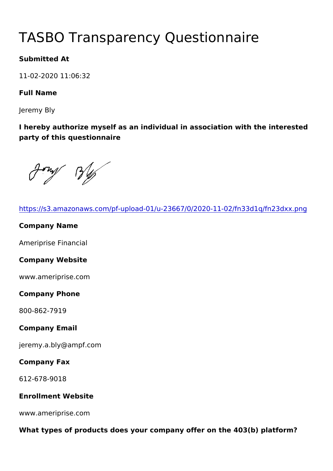# TASBO Transparency Questionna

Submitted At

11-02-2020 11:06:32

Full Name

Jeremy Bly

I hereby authorize myself as an individual in association with the party of this questionnaire

| https://s3.amazonaws.com/pf-upload-01/u-23667/0/2020-11-02/fn3   |  |
|------------------------------------------------------------------|--|
| Company Name                                                     |  |
| Ameriprise Financial                                             |  |
| Company Website                                                  |  |
| www.ameriprise.com                                               |  |
| Company Phone                                                    |  |
| 800-862-7919                                                     |  |
| Company Email                                                    |  |
| jeremy.a.bly@ampf.com                                            |  |
| Company Fax                                                      |  |
| 612-678-9018                                                     |  |
| Enrollment Website                                               |  |
| www.ameriprise.com                                               |  |
| What types of products does your company offer on the 403(b) pla |  |
|                                                                  |  |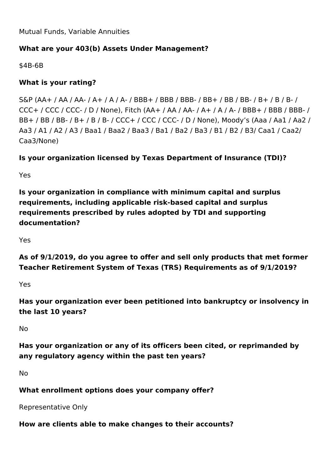Mutual Funds, Variable Annuities

# **What are your 403(b) Assets Under Management?**

\$4B-6B

## **What is your rating?**

S&P (AA+ / AA / AA- / A+ / A / A- / BBB+ / BBB / BBB- / BB+ / BB / BB- / B+ / B / B- / CCC+ / CCC / CCC- / D / None), Fitch (AA+ / AA / AA- / A+ / A / A- / BBB+ / BBB / BBB- / BB+ / BB / BB- / B+ / B / B- / CCC+ / CCC / CCC- / D / None), Moody's (Aaa / Aa1 / Aa2 / Aa3 / A1 / A2 / A3 / Baa1 / Baa2 / Baa3 / Ba1 / Ba2 / Ba3 / B1 / B2 / B3/ Caa1 / Caa2/ Caa3/None)

# **Is your organization licensed by Texas Department of Insurance (TDI)?**

Yes

**Is your organization in compliance with minimum capital and surplus requirements, including applicable risk-based capital and surplus requirements prescribed by rules adopted by TDI and supporting documentation?**

Yes

**As of 9/1/2019, do you agree to offer and sell only products that met former Teacher Retirement System of Texas (TRS) Requirements as of 9/1/2019?**

Yes

**Has your organization ever been petitioned into bankruptcy or insolvency in the last 10 years?**

No

**Has your organization or any of its officers been cited, or reprimanded by any regulatory agency within the past ten years?**

No

**What enrollment options does your company offer?** 

Representative Only

**How are clients able to make changes to their accounts?**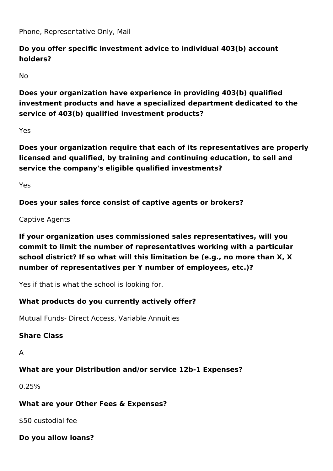Phone, Representative Only, Mail

# **Do you offer specific investment advice to individual 403(b) account holders?**

No

**Does your organization have experience in providing 403(b) qualified investment products and have a specialized department dedicated to the service of 403(b) qualified investment products?**

Yes

**Does your organization require that each of its representatives are properly licensed and qualified, by training and continuing education, to sell and service the company's eligible qualified investments?** 

Yes

**Does your sales force consist of captive agents or brokers?**

Captive Agents

**If your organization uses commissioned sales representatives, will you commit to limit the number of representatives working with a particular school district? If so what will this limitation be (e.g., no more than X, X number of representatives per Y number of employees, etc.)?**

Yes if that is what the school is looking for.

## **What products do you currently actively offer?**

Mutual Funds- Direct Access, Variable Annuities

## **Share Class**

A

## **What are your Distribution and/or service 12b-1 Expenses?**

0.25%

## **What are your Other Fees & Expenses?**

\$50 custodial fee

**Do you allow loans?**